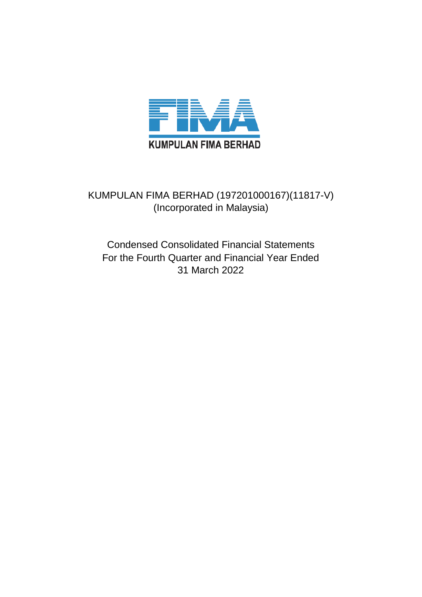

## KUMPULAN FIMA BERHAD (197201000167)(11817-V) (Incorporated in Malaysia)

## Condensed Consolidated Financial Statements For the Fourth Quarter and Financial Year Ended 31 March 2022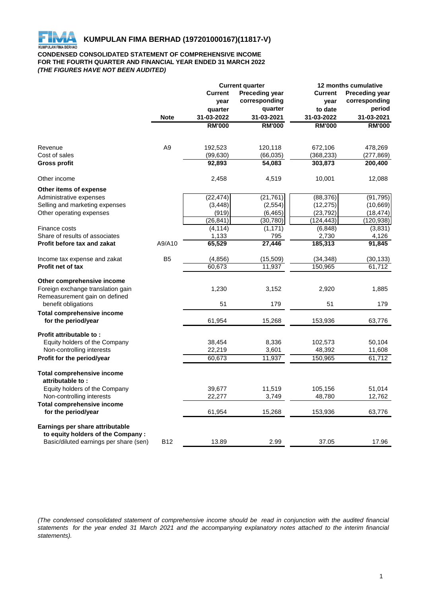

## **CONDENSED CONSOLIDATED STATEMENT OF COMPREHENSIVE INCOME FOR THE FOURTH QUARTER AND FINANCIAL YEAR ENDED 31 MARCH 2022** *(THE FIGURES HAVE NOT BEEN AUDITED)*

|                                                          |                | <b>Current quarter</b> |                       |                | 12 months cumulative  |  |
|----------------------------------------------------------|----------------|------------------------|-----------------------|----------------|-----------------------|--|
|                                                          |                | <b>Current</b>         | <b>Preceding year</b> | <b>Current</b> | <b>Preceding year</b> |  |
|                                                          |                | year                   | corresponding         | year           | corresponding         |  |
|                                                          |                | quarter                | quarter               | to date        | period                |  |
|                                                          | <b>Note</b>    | 31-03-2022             | 31-03-2021            | 31-03-2022     | 31-03-2021            |  |
|                                                          |                | <b>RM'000</b>          | <b>RM'000</b>         | <b>RM'000</b>  | <b>RM'000</b>         |  |
|                                                          |                |                        |                       |                |                       |  |
| Revenue                                                  | A <sub>9</sub> | 192,523                | 120,118               | 672,106        | 478,269               |  |
| Cost of sales                                            |                | (99, 630)              | (66, 035)             | (368, 233)     | (277, 869)            |  |
| <b>Gross profit</b>                                      |                | 92,893                 | 54,083                | 303,873        | 200,400               |  |
| Other income                                             |                | 2,458                  | 4,519                 | 10,001         | 12,088                |  |
| Other items of expense                                   |                |                        |                       |                |                       |  |
| Administrative expenses                                  |                | (22, 474)              | (21, 761)             | (88, 376)      | (91, 795)             |  |
| Selling and marketing expenses                           |                | (3, 448)               | (2, 554)              | (12, 275)      | (10, 669)             |  |
| Other operating expenses                                 |                | (919)                  | (6, 465)              | (23, 792)      | (18, 474)             |  |
|                                                          |                | (26, 841)              | (30, 780)             | (124, 443)     | (120, 938)            |  |
| Finance costs                                            |                | (4, 114)               | (1, 171)              | (6, 848)       | (3,831)               |  |
| Share of results of associates                           |                | 1,133                  | 795                   | 2,730          | 4,126                 |  |
| <b>Profit before tax and zakat</b>                       | A9/A10         | 65,529                 | 27,446                | 185,313        | 91,845                |  |
| Income tax expense and zakat                             | B <sub>5</sub> | (4, 856)               | (15, 509)             | (34, 348)      | (30, 133)             |  |
| <b>Profit net of tax</b>                                 |                | 60,673                 | 11,937                | 150,965        | 61,712                |  |
| Other comprehensive income                               |                |                        |                       |                |                       |  |
| Foreign exchange translation gain                        |                | 1,230                  | 3,152                 | 2,920          | 1,885                 |  |
| Remeasurement gain on defined                            |                |                        |                       |                |                       |  |
| benefit obligations                                      |                | 51                     | 179                   | 51             | 179                   |  |
| <b>Total comprehensive income</b><br>for the period/year |                | 61,954                 | 15,268                | 153,936        | 63,776                |  |
|                                                          |                |                        |                       |                |                       |  |
| Profit attributable to:<br>Equity holders of the Company |                | 38,454                 | 8,336                 | 102,573        | 50,104                |  |
| Non-controlling interests                                |                | 22,219                 | 3,601                 | 48,392         | 11,608                |  |
| Profit for the period/year                               |                | 60,673                 | 11,937                | 150,965        | 61,712                |  |
| <b>Total comprehensive income</b>                        |                |                        |                       |                |                       |  |
| attributable to:                                         |                |                        |                       |                |                       |  |
| Equity holders of the Company                            |                | 39,677                 | 11,519                | 105,156        | 51,014                |  |
| Non-controlling interests                                |                | 22,277                 | 3,749                 | 48,780         | 12,762                |  |
| <b>Total comprehensive income</b>                        |                |                        |                       |                |                       |  |
| for the period/year                                      |                | 61,954                 | 15,268                | 153,936        | 63,776                |  |
| Earnings per share attributable                          |                |                        |                       |                |                       |  |
| to equity holders of the Company:                        |                |                        |                       |                |                       |  |
| Basic/diluted earnings per share (sen)                   | <b>B12</b>     | 13.89                  | 2.99                  | 37.05          | 17.96                 |  |

(The condensed consolidated statement of comprehensive income should be read in conjunction with the audited financial statements for the year ended 31 March 2021 and the accompanying explanatory notes attached to the interim financial *statements).*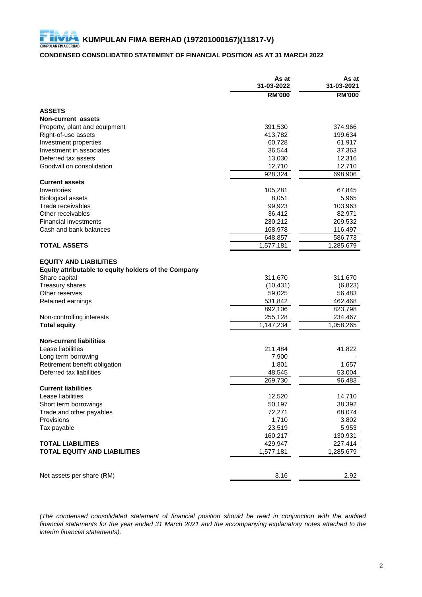## **CONDENSED CONSOLIDATED STATEMENT OF FINANCIAL POSITION AS AT 31 MARCH 2022**

|                                                      | As at<br>31-03-2022 | As at<br>31-03-2021  |
|------------------------------------------------------|---------------------|----------------------|
|                                                      | <b>RM'000</b>       | <b>RM'000</b>        |
| <b>ASSETS</b>                                        |                     |                      |
| <b>Non-current assets</b>                            |                     |                      |
| Property, plant and equipment                        | 391,530             | 374,966              |
| Right-of-use assets                                  | 413,782             | 199,634              |
| Investment properties                                | 60,728              | 61,917               |
| Investment in associates                             | 36,544              | 37,363               |
| Deferred tax assets                                  | 13,030              | 12,316               |
| Goodwill on consolidation                            | 12,710              | 12,710               |
|                                                      | 928,324             | 698,906              |
| <b>Current assets</b>                                |                     |                      |
| Inventories                                          | 105,281             | 67,845               |
| <b>Biological assets</b>                             | 8,051               | 5,965                |
| Trade receivables                                    | 99,923              | 103,963              |
| Other receivables                                    | 36,412              | 82,971               |
| <b>Financial investments</b>                         | 230,212             | 209,532              |
| Cash and bank balances                               | 168,978             | 116,497              |
| <b>TOTAL ASSETS</b>                                  | 648,857             | 586,773              |
|                                                      | 1,577,181           | 1,285,679            |
| <b>EQUITY AND LIABILITIES</b>                        |                     |                      |
| Equity attributable to equity holders of the Company |                     |                      |
| Share capital                                        | 311,670             | 311,670              |
| Treasury shares                                      | (10, 431)           | (6, 823)             |
| Other reserves                                       | 59,025              | 56,483               |
| Retained earnings                                    | 531,842             | 462,468              |
|                                                      | 892,106             | 823,798              |
| Non-controlling interests                            | 255,128             | 234,467              |
| <b>Total equity</b>                                  | 1,147,234           | 1,058,265            |
|                                                      |                     |                      |
| <b>Non-current liabilities</b>                       |                     |                      |
| Lease liabilities                                    | 211,484             | 41,822               |
| Long term borrowing<br>Retirement benefit obligation | 7,900<br>1,801      | 1,657                |
| Deferred tax liabilities                             | 48,545              | 53,004               |
|                                                      | 269,730             | 96,483               |
| <b>Current liabilities</b>                           |                     |                      |
| Lease liabilities                                    | 12,520              | 14,710               |
| Short term borrowings                                | 50,197              | 38,392               |
| Trade and other payables                             | 72,271              | 68,074               |
| Provisions                                           | 1,710               | 3,802                |
| Tax payable                                          | 23,519              | 5,953                |
|                                                      | 160,217             | 130,931              |
| <b>TOTAL LIABILITIES</b>                             | 429,947             | $\overline{227,}414$ |
| <b>TOTAL EQUITY AND LIABILITIES</b>                  | 1,577,181           | 1,285,679            |
|                                                      |                     |                      |
|                                                      |                     |                      |
| Net assets per share (RM)                            | 3.16                | 2.92                 |

*(The condensed consolidated statement of financial position should be read in conjunction with the audited* financial statements for the year ended 31 March 2021 and the accompanying explanatory notes attached to the *interim financial statements).*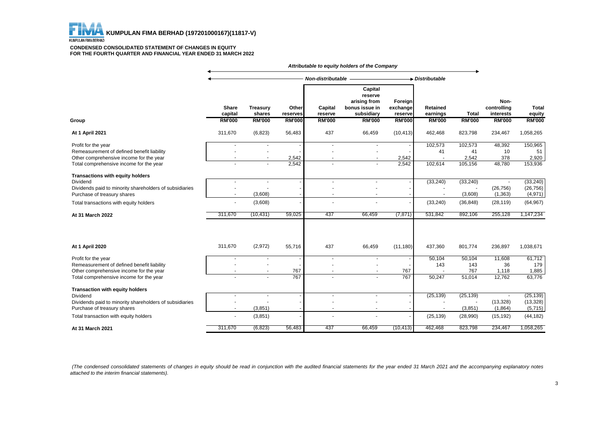

#### **CONDENSED CONSOLIDATED STATEMENT OF CHANGES IN EQUITY FOR THE FOURTH QUARTER AND FINANCIAL YEAR ENDED 31 MARCH 2022**

|                                                                                                                                                                                  |                                   |                                                |                                    |                                                      | Attributable to equity holders of the Company                                       |                                                 |                                              |                                   |                                                   |                                                |
|----------------------------------------------------------------------------------------------------------------------------------------------------------------------------------|-----------------------------------|------------------------------------------------|------------------------------------|------------------------------------------------------|-------------------------------------------------------------------------------------|-------------------------------------------------|----------------------------------------------|-----------------------------------|---------------------------------------------------|------------------------------------------------|
|                                                                                                                                                                                  |                                   |                                                |                                    | Non-distributable                                    |                                                                                     |                                                 | Distributable                                |                                   |                                                   |                                                |
| Group                                                                                                                                                                            | Share<br>capital<br><b>RM'000</b> | <b>Treasury</b><br>shares<br><b>RM'000</b>     | Other<br>reserves<br><b>RM'000</b> | Capital<br>reserve<br><b>RM'000</b>                  | Capital<br>reserve<br>arising from<br>bonus issue in<br>subsidiary<br><b>RM'000</b> | Foreign<br>exchange<br>reserve<br><b>RM'000</b> | <b>Retained</b><br>earnings<br><b>RM'000</b> | <b>Total</b><br><b>RM'000</b>     | Non-<br>controlling<br>interests<br><b>RM'000</b> | <b>Total</b><br>equity<br><b>RM'000</b>        |
| At 1 April 2021                                                                                                                                                                  | 311,670                           | (6, 823)                                       | 56,483                             | 437                                                  | 66,459                                                                              | (10, 413)                                       | 462,468                                      | 823,798                           | 234,467                                           | 1,058,265                                      |
| Profit for the year<br>Remeasurement of defined benefit liability<br>Other comprehensive income for the year<br>Total comprehensive income for the year                          |                                   | $\overline{a}$                                 | 2,542<br>2,542                     | $\overline{\phantom{a}}$<br>$\overline{\phantom{a}}$ | $\overline{\phantom{a}}$<br>$\sim$                                                  | 2,542<br>2,542                                  | 102,573<br>41<br>102,614                     | 102,573<br>41<br>2,542<br>105,156 | 48,392<br>10<br>378<br>48,780                     | 150,965<br>51<br>2,920<br>153,936              |
| Transactions with equity holders<br>Dividend<br>Dividends paid to minority shareholders of subsidiaries<br>Purchase of treasury shares<br>Total transactions with equity holders | $\blacksquare$<br>$\sim$          | $\overline{\phantom{a}}$<br>(3,608)<br>(3,608) |                                    | $\sim$                                               | $\sim$                                                                              |                                                 | (33, 240)<br>(33, 240)                       | (33, 240)<br>(3,608)<br>(36, 848) | (26, 756)<br>(1, 363)<br>(28, 119)                | (33, 240)<br>(26, 756)<br>(4,971)<br>(64, 967) |
| At 31 March 2022                                                                                                                                                                 | 311,670                           | (10,431)                                       | 59,025                             | 437                                                  | 66,459                                                                              | (7, 871)                                        | 531,842                                      | 892,106                           | 255,128                                           | 1,147,234                                      |
| At 1 April 2020                                                                                                                                                                  | 311,670                           | (2,972)                                        | 55,716                             | 437                                                  | 66,459                                                                              | (11, 180)                                       | 437,360                                      | 801,774                           | 236,897                                           | 1,038,671                                      |
| Profit for the year<br>Remeasurement of defined benefit liability<br>Other comprehensive income for the year<br>Total comprehensive income for the year                          |                                   |                                                | 767<br>767                         | $\blacksquare$<br>$\overline{a}$                     | $\blacksquare$<br>$\blacksquare$                                                    | 767<br>767                                      | 50,104<br>143<br>50,247                      | 50,104<br>143<br>767<br>51,014    | 11,608<br>36<br>1,118<br>12,762                   | 61,712<br>179<br>1,885<br>63,776               |
| <b>Transaction with equity holders</b><br>Dividend<br>Dividends paid to minority shareholders of subsidiaries<br>Purchase of treasury shares                                     | $\blacksquare$                    | (3,851)                                        |                                    | $\blacksquare$                                       |                                                                                     |                                                 | (25, 139)                                    | (25, 139)<br>(3,851)              | (13, 328)<br>(1,864)                              | (25, 139)<br>(13, 328)<br>(5,715)              |
| Total transaction with equity holders<br>At 31 March 2021                                                                                                                        | ٠<br>311,670                      | (3,851)<br>(6, 823)                            | 56,483                             | 437                                                  | 66,459                                                                              | (10, 413)                                       | (25, 139)<br>462,468                         | (28,990)<br>823,798               | (15, 192)<br>234,467                              | (44, 182)<br>1,058,265                         |

(The condensed consolidated statements of changes in equity should be read in conjunction with the audited financial statements for the year ended 31 March 2021 and the accompanying explanatory notes *attached to the interim financial statements).*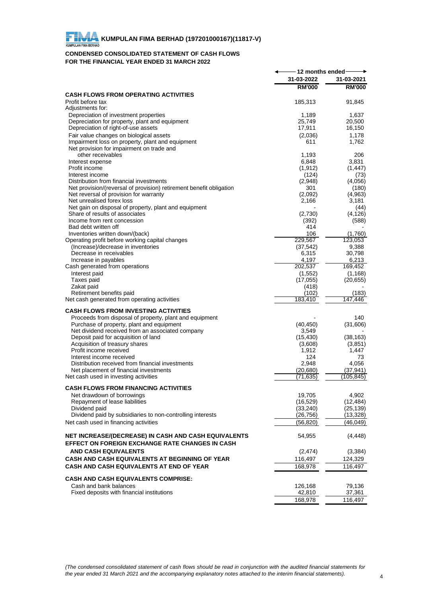

## **CONDENSED CONSOLIDATED STATEMENT OF CASH FLOWS FOR THE FINANCIAL YEAR ENDED 31 MARCH 2022**

|                                                                                                                | 12 months ended    |                  |
|----------------------------------------------------------------------------------------------------------------|--------------------|------------------|
|                                                                                                                | 31-03-2022         | 31-03-2021       |
|                                                                                                                | <b>RM'000</b>      | <b>RM'000</b>    |
| <b>CASH FLOWS FROM OPERATING ACTIVITIES</b>                                                                    |                    |                  |
| Profit before tax                                                                                              | 185,313            | 91,845           |
| Adjustments for:                                                                                               |                    |                  |
| Depreciation of investment properties<br>Depreciation for property, plant and equipment                        | 1.189<br>25,749    | 1,637<br>20,500  |
| Depreciation of right-of-use assets                                                                            | 17,911             | 16,150           |
| Fair value changes on biological assets                                                                        | (2,036)            | 1,178            |
| Impairment loss on property, plant and equipment                                                               | 611                | 1,762            |
| Net provision for impairment on trade and                                                                      |                    |                  |
| other receivables                                                                                              | 1,193              | 206              |
| Interest expense                                                                                               | 6,848              | 3,831            |
| Profit income                                                                                                  | (1, 912)           | (1, 447)         |
| Interest income                                                                                                | (124)              | (73)             |
| Distribution from financial investments<br>Net provision/(reversal of provision) retirement benefit obligation | (2,948)<br>301     | (4,056)<br>(180) |
| Net reversal of provision for warranty                                                                         | (2,092)            | (4,963)          |
| Net unrealised forex loss                                                                                      | 2,166              | 3,181            |
| Net gain on disposal of property, plant and equipment                                                          |                    | (44)             |
| Share of results of associates                                                                                 | (2,730)            | (4, 126)         |
| Income from rent concession                                                                                    | (392)              | (588)            |
| Bad debt written off                                                                                           | 414                |                  |
| Inventories written down/(back)                                                                                | 106<br>229,567     | (1,760)          |
| Operating profit before working capital changes<br>(Increase)/decrease in inventories                          | (37, 542)          | 123,053<br>9,388 |
| Decrease in receivables                                                                                        | 6,315              | 30,798           |
| Increase in payables                                                                                           | 4,197              | 6,213            |
| Cash generated from operations                                                                                 | 202,537            | 169,452          |
| Interest paid                                                                                                  | (1, 552)           | (1, 168)         |
| Taxes paid                                                                                                     | (17,055)           | (20, 655)        |
| Zakat paid                                                                                                     | (418)              |                  |
| Retirement benefits paid                                                                                       | (102)<br>183,410   | (183)<br>147.446 |
| Net cash generated from operating activities                                                                   |                    |                  |
| <b>CASH FLOWS FROM INVESTING ACTIVITIES</b>                                                                    |                    |                  |
| Proceeds from disposal of property, plant and equipment                                                        |                    | 140              |
| Purchase of property, plant and equipment                                                                      | (40, 450)          | (31,606)         |
| Net dividend received from an associated company<br>Deposit paid for acquisition of land                       | 3,549<br>(15, 430) | (38, 163)        |
| Acquisition of treasury shares                                                                                 | (3,608)            | (3,851)          |
| Profit income received                                                                                         | 1,912              | 1.447            |
| Interest income received                                                                                       | 124                | 73               |
| Distribution received from financial investments                                                               | 2,948              | 4,056            |
| Net placement of financial investments                                                                         | (20, 680)          | (37,941)         |
| Net cash used in investing activities                                                                          | (71, 635)          | (105,845)        |
| <b>CASH FLOWS FROM FINANCING ACTIVITIES</b>                                                                    |                    |                  |
| Net drawdown of borrowings                                                                                     | 19,705             | 4,902            |
| Repayment of lease liabilities                                                                                 | (16, 529)          | (12, 484)        |
| Dividend paid                                                                                                  | (33, 240)          | (25, 139)        |
| Dividend paid by subsidiaries to non-controlling interests                                                     | (26, 756)          | (13, 328)        |
| Net cash used in financing activities                                                                          | (56,820)           | (46,049)         |
| NET INCREASE/(DECREASE) IN CASH AND CASH EQUIVALENTS                                                           | 54,955             | (4, 448)         |
| EFFECT ON FOREIGN EXCHANGE RATE CHANGES IN CASH                                                                |                    |                  |
| <b>AND CASH EQUIVALENTS</b>                                                                                    | (2, 474)           | (3, 384)         |
| CASH AND CASH EQUIVALENTS AT BEGINNING OF YEAR                                                                 | 116,497            | 124,329          |
| CASH AND CASH EQUIVALENTS AT END OF YEAR                                                                       | 168,978            | 116,497          |
|                                                                                                                |                    |                  |
| <b>CASH AND CASH EQUIVALENTS COMPRISE:</b>                                                                     |                    |                  |
| Cash and bank balances<br>Fixed deposits with financial institutions                                           | 126,168<br>42,810  | 79,136<br>37,361 |
|                                                                                                                | 168,978            | 116,497          |
|                                                                                                                |                    |                  |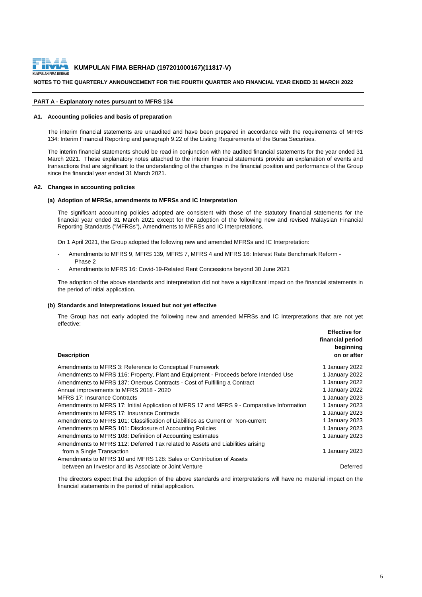

#### **NOTES TO THE QUARTERLY ANNOUNCEMENT FOR THE FOURTH QUARTER AND FINANCIAL YEAR ENDED 31 MARCH 2022**

#### **PART A - Explanatory notes pursuant to MFRS 134**

#### **A1. Accounting policies and basis of preparation**

The interim financial statements are unaudited and have been prepared in accordance with the requirements of MFRS 134: Interim Financial Reporting and paragraph 9.22 of the Listing Requirements of the Bursa Securities.

The interim financial statements should be read in conjunction with the audited financial statements for the year ended 31 March 2021. These explanatory notes attached to the interim financial statements provide an explanation of events and transactions that are significant to the understanding of the changes in the financial position and performance of the Group since the financial year ended 31 March 2021.

#### **A2. Changes in accounting policies**

#### **(a) Adoption of MFRSs, amendments to MFRSs and IC Interpretation**

The significant accounting policies adopted are consistent with those of the statutory financial statements for the financial year ended 31 March 2021 except for the adoption of the following new and revised Malaysian Financial Reporting Standards ("MFRSs"), Amendments to MFRSs and IC Interpretations.

On 1 April 2021, the Group adopted the following new and amended MFRSs and IC Interpretation:

- Amendments to MFRS 9, MFRS 139, MFRS 7, MFRS 4 and MFRS 16: Interest Rate Benchmark Reform -Phase 2
- Amendments to MFRS 16: Covid-19-Related Rent Concessions beyond 30 June 2021

The adoption of the above standards and interpretation did not have a significant impact on the financial statements in the period of initial application.

#### **(b) Standards and Interpretations issued but not yet effective**

The Group has not early adopted the following new and amended MFRSs and IC Interpretations that are not yet effective:

| <b>Description</b>                                                                         | <b>Effective for</b><br>financial period<br>beginning<br>on or after |
|--------------------------------------------------------------------------------------------|----------------------------------------------------------------------|
| Amendments to MFRS 3: Reference to Conceptual Framework                                    | 1 January 2022                                                       |
| Amendments to MFRS 116: Property, Plant and Equipment - Proceeds before Intended Use       | 1 January 2022                                                       |
| Amendments to MFRS 137: Onerous Contracts - Cost of Fulfilling a Contract                  | 1 January 2022                                                       |
| Annual improvements to MFRS 2018 - 2020                                                    | 1 January 2022                                                       |
| <b>MFRS 17: Insurance Contracts</b>                                                        | 1 January 2023                                                       |
| Amendments to MFRS 17: Initial Application of MFRS 17 and MFRS 9 - Comparative Information | 1 January 2023                                                       |
| Amendments to MFRS 17: Insurance Contracts                                                 | 1 January 2023                                                       |
| Amendments to MFRS 101: Classification of Liabilities as Current or Non-current            | 1 January 2023                                                       |
| Amendments to MFRS 101: Disclosure of Accounting Policies                                  | 1 January 2023                                                       |
| Amendments to MFRS 108: Definition of Accounting Estimates                                 | 1 January 2023                                                       |
| Amendments to MFRS 112: Deferred Tax related to Assets and Liabilities arising             |                                                                      |
| from a Single Transaction                                                                  | 1 January 2023                                                       |
| Amendments to MFRS 10 and MFRS 128: Sales or Contribution of Assets                        |                                                                      |
| between an Investor and its Associate or Joint Venture                                     | Deferred                                                             |

The directors expect that the adoption of the above standards and interpretations will have no material impact on the financial statements in the period of initial application.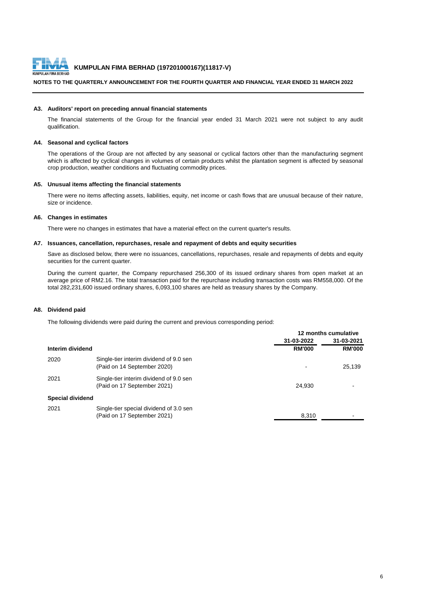

#### **NOTES TO THE QUARTERLY ANNOUNCEMENT FOR THE FOURTH QUARTER AND FINANCIAL YEAR ENDED 31 MARCH 2022**

#### **A3. Auditors' report on preceding annual financial statements**

The financial statements of the Group for the financial year ended 31 March 2021 were not subject to any audit qualification.

#### **A4. Seasonal and cyclical factors**

The operations of the Group are not affected by any seasonal or cyclical factors other than the manufacturing segment which is affected by cyclical changes in volumes of certain products whilst the plantation segment is affected by seasonal crop production, weather conditions and fluctuating commodity prices.

#### **A5. Unusual items affecting the financial statements**

There were no items affecting assets, liabilities, equity, net income or cash flows that are unusual because of their nature, size or incidence.

#### **A6. Changes in estimates**

There were no changes in estimates that have a material effect on the current quarter's results.

#### **A7. Issuances, cancellation, repurchases, resale and repayment of debts and equity securities**

Save as disclosed below, there were no issuances, cancellations, repurchases, resale and repayments of debts and equity securities for the current quarter.

During the current quarter, the Company repurchased 256,300 of its issued ordinary shares from open market at an average price of RM2.16. The total transaction paid for the repurchase including transaction costs was RM558,000. Of the total 282,231,600 issued ordinary shares, 6,093,100 shares are held as treasury shares by the Company.

#### **A8. Dividend paid**

The following dividends were paid during the current and previous corresponding period:

|                         |                                                                        | 12 months cumulative |               |
|-------------------------|------------------------------------------------------------------------|----------------------|---------------|
|                         |                                                                        | 31-03-2022           | 31-03-2021    |
| Interim dividend        |                                                                        | <b>RM'000</b>        | <b>RM'000</b> |
| 2020                    | Single-tier interim dividend of 9.0 sen<br>(Paid on 14 September 2020) |                      | 25.139        |
| 2021                    | Single-tier interim dividend of 9.0 sen<br>(Paid on 17 September 2021) | 24.930               |               |
| <b>Special dividend</b> |                                                                        |                      |               |
| 2021                    | Single-tier special dividend of 3.0 sen<br>(Paid on 17 September 2021) | 8,310                |               |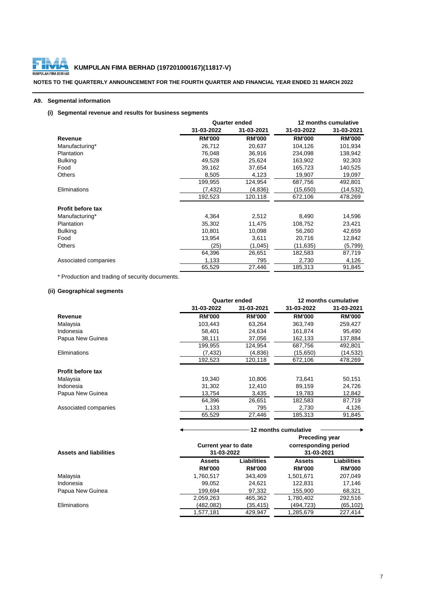

# **ENTA KUMPULAN FIMA BERHAD (197201000167)(11817-V)**<br>ULAN FIMA BERHAD

**NOTES TO THE QUARTERLY ANNOUNCEMENT FOR THE FOURTH QUARTER AND FINANCIAL YEAR ENDED 31 MARCH 2022**

## **A9. Segmental information**

## **(i) Segmental revenue and results for business segments**

|                          |               | <b>Quarter ended</b> | 12 months cumulative |               |  |
|--------------------------|---------------|----------------------|----------------------|---------------|--|
|                          | 31-03-2022    | 31-03-2021           | 31-03-2022           | 31-03-2021    |  |
| Revenue                  | <b>RM'000</b> | <b>RM'000</b>        | <b>RM'000</b>        | <b>RM'000</b> |  |
| Manufacturing*           | 26,712        | 20,637               | 104,126              | 101,934       |  |
| <b>Plantation</b>        | 76,048        | 36,916               | 234,098              | 138,942       |  |
| <b>Bulking</b>           | 49,528        | 25,624               | 163,902              | 92,303        |  |
| Food                     | 39,162        | 37,654               | 165,723              | 140,525       |  |
| Others                   | 8,505         | 4,123                | 19,907               | 19,097        |  |
|                          | 199,955       | 124,954              | 687,756              | 492,801       |  |
| Eliminations             | (7,432)       | (4,836)              | (15, 650)            | (14,532)      |  |
|                          | 192,523       | 120,118              | 672,106              | 478,269       |  |
| <b>Profit before tax</b> |               |                      |                      |               |  |
| Manufacturing*           | 4,364         | 2,512                | 8,490                | 14,596        |  |
| <b>Plantation</b>        | 35,302        | 11,475               | 108,752              | 23,421        |  |
| <b>Bulking</b>           | 10,801        | 10,098               | 56,260               | 42,659        |  |
| Food                     | 13,954        | 3,611                | 20,716               | 12,842        |  |
| <b>Others</b>            | (25)          | (1,045)              | (11,635)             | (5,799)       |  |
|                          | 64,396        | 26,651               | 182,583              | 87,719        |  |
| Associated companies     | 1,133         | 795                  | 2,730                | 4,126         |  |
|                          | 65,529        | 27,446               | 185,313              | 91,845        |  |

\* Production and trading of security documents.

## **(ii) Geographical segments**

|                          |               | <b>Quarter ended</b> | 12 months cumulative |               |  |
|--------------------------|---------------|----------------------|----------------------|---------------|--|
|                          | 31-03-2022    | 31-03-2021           | 31-03-2022           | 31-03-2021    |  |
| Revenue                  | <b>RM'000</b> | <b>RM'000</b>        | <b>RM'000</b>        | <b>RM'000</b> |  |
| Malaysia                 | 103.443       | 63.264               | 363.749              | 259,427       |  |
| Indonesia                | 58.401        | 24,634               | 161,874              | 95,490        |  |
| Papua New Guinea         | 38,111        | 37,056               | 162,133              | 137,884       |  |
|                          | 199,955       | 124,954              | 687,756              | 492,801       |  |
| Eliminations             | (7, 432)      | (4,836)              | (15,650)             | (14,532)      |  |
|                          | 192,523       | 120,118              | 672,106              | 478,269       |  |
| <b>Profit before tax</b> |               |                      |                      |               |  |
| Malaysia                 | 19,340        | 10.806               | 73,641               | 50,151        |  |
| Indonesia                | 31,302        | 12.410               | 89,159               | 24,726        |  |
| Papua New Guinea         | 13.754        | 3,435                | 19,783               | 12,842        |  |
|                          | 64.396        | 26,651               | 182,583              | 87,719        |  |
| Associated companies     | 1,133         | 795                  | 2,730                | 4,126         |  |
|                          | 65,529        | 27,446               | 185,313              | 91.845        |  |

|                               | 12 months cumulative |                                                                                                          |               |                    |  |
|-------------------------------|----------------------|----------------------------------------------------------------------------------------------------------|---------------|--------------------|--|
| <b>Assets and liabilities</b> |                      | <b>Preceding year</b><br>corresponding period<br><b>Current year to date</b><br>31-03-2022<br>31-03-2021 |               |                    |  |
|                               | <b>Assets</b>        | Liabilities                                                                                              | <b>Assets</b> | <b>Liabilities</b> |  |
|                               | <b>RM'000</b>        | <b>RM'000</b>                                                                                            | <b>RM'000</b> | <b>RM'000</b>      |  |
| Malaysia                      | 1,760,517            | 343.409                                                                                                  | 1,501,671     | 207,049            |  |
| Indonesia                     | 99,052               | 24.621                                                                                                   | 122.831       | 17,146             |  |
| Papua New Guinea              | 199.694              | 97,332                                                                                                   | 155,900       | 68,321             |  |
|                               | 2,059,263            | 465,362                                                                                                  | 1,780,402     | 292,516            |  |
| Eliminations                  | (482,082)            | (35,415)                                                                                                 | (494,723)     | (65, 102)          |  |
|                               | 1,577,181            | 429,947                                                                                                  | 1,285,679     | 227.414            |  |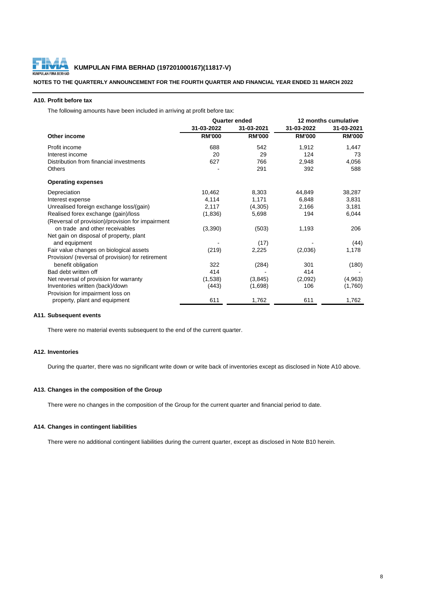

#### **A10. Profit before tax**

The following amounts have been included in arriving at profit before tax:

|                                                   | <b>Quarter ended</b> |               | 12 months cumulative |               |
|---------------------------------------------------|----------------------|---------------|----------------------|---------------|
|                                                   | 31-03-2022           | 31-03-2021    | 31-03-2022           | 31-03-2021    |
| <b>Other income</b>                               | <b>RM'000</b>        | <b>RM'000</b> | <b>RM'000</b>        | <b>RM'000</b> |
| Profit income                                     | 688                  | 542           | 1,912                | 1,447         |
| Interest income                                   | 20                   | 29            | 124                  | 73            |
| Distribution from financial investments           | 627                  | 766           | 2,948                | 4,056         |
| <b>Others</b>                                     |                      | 291           | 392                  | 588           |
| <b>Operating expenses</b>                         |                      |               |                      |               |
| Depreciation                                      | 10,462               | 8,303         | 44,849               | 38,287        |
| Interest expense                                  | 4,114                | 1,171         | 6,848                | 3,831         |
| Unrealised foreign exchange loss/(gain)           | 2,117                | (4,305)       | 2,166                | 3,181         |
| Realised forex exchange (gain)/loss               | (1,836)              | 5,698         | 194                  | 6,044         |
| (Reversal of provision)/provision for impairment  |                      |               |                      |               |
| on trade and other receivables                    | (3,390)              | (503)         | 1,193                | 206           |
| Net gain on disposal of property, plant           |                      |               |                      |               |
| and equipment                                     |                      | (17)          |                      | (44)          |
| Fair value changes on biological assets           | (219)                | 2,225         | (2,036)              | 1,178         |
| Provision/ (reversal of provision) for retirement |                      |               |                      |               |
| benefit obligation                                | 322                  | (284)         | 301                  | (180)         |
| Bad debt written off                              | 414                  |               | 414                  |               |
| Net reversal of provision for warranty            | (1,538)              | (3, 845)      | (2,092)              | (4,963)       |
| Inventories written (back)/down                   | (443)                | (1,698)       | 106                  | (1,760)       |
| Provision for impairment loss on                  |                      |               |                      |               |
| property, plant and equipment                     | 611                  | 1,762         | 611                  | 1,762         |

## **A11. Subsequent events**

There were no material events subsequent to the end of the current quarter.

#### **A12. Inventories**

During the quarter, there was no significant write down or write back of inventories except as disclosed in Note A10 above.

#### **A13. Changes in the composition of the Group**

There were no changes in the composition of the Group for the current quarter and financial period to date.

## **A14. Changes in contingent liabilities**

There were no additional contingent liabilities during the current quarter, except as disclosed in Note B10 herein.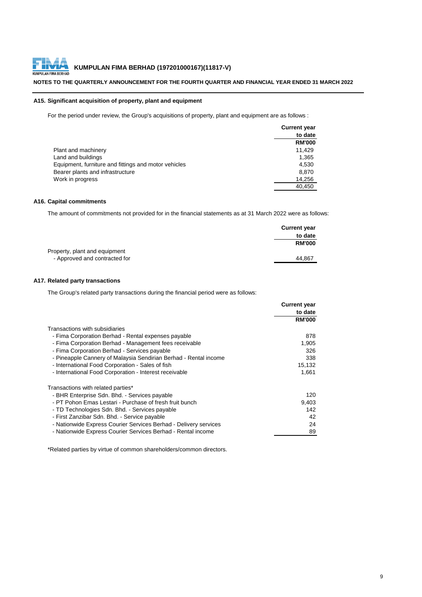#### **NOTES TO THE QUARTERLY ANNOUNCEMENT FOR THE FOURTH QUARTER AND FINANCIAL YEAR ENDED 31 MARCH 2022**

#### **A15. Significant acquisition of property, plant and equipment**

For the period under review, the Group's acquisitions of property, plant and equipment are as follows :

|                                                      | <b>Current year</b> |
|------------------------------------------------------|---------------------|
|                                                      | to date             |
|                                                      | <b>RM'000</b>       |
| Plant and machinery                                  | 11.429              |
| Land and buildings                                   | 1,365               |
| Equipment, furniture and fittings and motor vehicles | 4,530               |
| Bearer plants and infrastructure                     | 8,870               |
| Work in progress                                     | 14,256              |
|                                                      | 40.450              |

## **A16. Capital commitments**

The amount of commitments not provided for in the financial statements as at 31 March 2022 were as follows:

|                               | <b>Current year</b> |
|-------------------------------|---------------------|
|                               | to date             |
|                               | <b>RM'000</b>       |
| Property, plant and equipment |                     |
| - Approved and contracted for | 44.867              |

#### **A17. Related party transactions**

The Group's related party transactions during the financial period were as follows:

|                                                                  | <b>Current year</b> |
|------------------------------------------------------------------|---------------------|
|                                                                  | to date             |
|                                                                  | <b>RM'000</b>       |
| Transactions with subsidiaries                                   |                     |
| - Fima Corporation Berhad - Rental expenses payable              | 878                 |
| - Fima Corporation Berhad - Management fees receivable           | 1,905               |
| - Fima Corporation Berhad - Services payable                     | 326                 |
| - Pineapple Cannery of Malaysia Sendirian Berhad - Rental income | 338                 |
| - International Food Corporation - Sales of fish                 | 15,132              |
| - International Food Corporation - Interest receivable           | 1,661               |
| Transactions with related parties*                               |                     |
| - BHR Enterprise Sdn. Bhd. - Services payable                    | 120                 |
| - PT Pohon Emas Lestari - Purchase of fresh fruit bunch          | 9,403               |
| - TD Technologies Sdn. Bhd. - Services payable                   | 142                 |
| - First Zanzibar Sdn. Bhd. - Service payable                     | 42                  |
| - Nationwide Express Courier Services Berhad - Delivery services | 24                  |
| - Nationwide Express Courier Services Berhad - Rental income     | 89                  |

\*Related parties by virtue of common shareholders/common directors.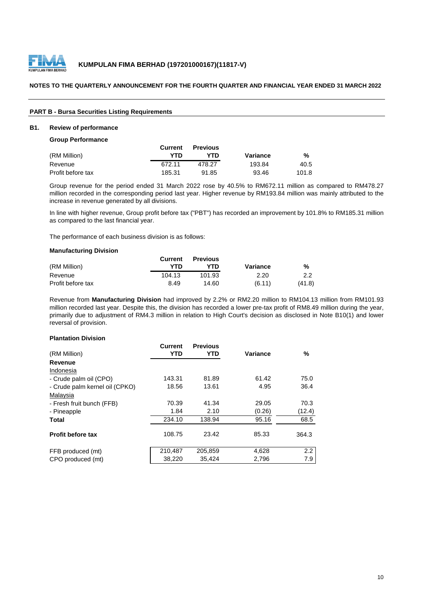

#### **NOTES TO THE QUARTERLY ANNOUNCEMENT FOR THE FOURTH QUARTER AND FINANCIAL YEAR ENDED 31 MARCH 2022**

## **PART B - Bursa Securities Listing Requirements**

## **B1. Review of performance**

#### **Group Performance**

|                   | Current | <b>Previous</b> |          |       |
|-------------------|---------|-----------------|----------|-------|
| (RM Million)      | YTD     | YTD.            | Variance | %     |
| Revenue           | 672.11  | 478.27          | 193.84   | 40.5  |
| Profit before tax | 185.31  | 91.85           | 93.46    | 101.8 |

Group revenue for the period ended 31 March 2022 rose by 40.5% to RM672.11 million as compared to RM478.27 million recorded in the corresponding period last year. Higher revenue by RM193.84 million was mainly attributed to the increase in revenue generated by all divisions.

In line with higher revenue, Group profit before tax ("PBT") has recorded an improvement by 101.8% to RM185.31 million as compared to the last financial year.

The performance of each business division is as follows:

#### **Manufacturing Division**

|                   | Current | <b>Previous</b> |          |        |
|-------------------|---------|-----------------|----------|--------|
| (RM Million)      | YTD     | YTN             | Variance | %      |
| Revenue           | 104.13  | 101.93          | 2.20     | 2.2    |
| Profit before tax | 8.49    | 14.60           | (6.11)   | (41.8) |

Revenue from **Manufacturing Division** had improved by 2.2% or RM2.20 million to RM104.13 million from RM101.93 million recorded last year. Despite this, the division has recorded a lower pre-tax profit of RM8.49 million during the year, primarily due to adjustment of RM4.3 million in relation to High Court's decision as disclosed in Note B10(1) and lower reversal of provision.

#### **Plantation Division**

|                                | <b>Current</b> | <b>Previous</b> |          |        |
|--------------------------------|----------------|-----------------|----------|--------|
| (RM Million)                   | YTD            | YTD             | Variance | %      |
| Revenue                        |                |                 |          |        |
| Indonesia                      |                |                 |          |        |
| - Crude palm oil (CPO)         | 143.31         | 81.89           | 61.42    | 75.0   |
| - Crude palm kernel oil (CPKO) | 18.56          | 13.61           | 4.95     | 36.4   |
| Malaysia                       |                |                 |          |        |
| - Fresh fruit bunch (FFB)      | 70.39          | 41.34           | 29.05    | 70.3   |
| - Pineapple                    | 1.84           | 2.10            | (0.26)   | (12.4) |
| Total                          | 234.10         | 138.94          | 95.16    | 68.5   |
|                                |                |                 |          |        |
| <b>Profit before tax</b>       | 108.75         | 23.42           | 85.33    | 364.3  |
| FFB produced (mt)              | 210,487        | 205,859         | 4,628    | 2.2    |
| CPO produced (mt)              | 38,220         | 35,424          | 2,796    | 7.9    |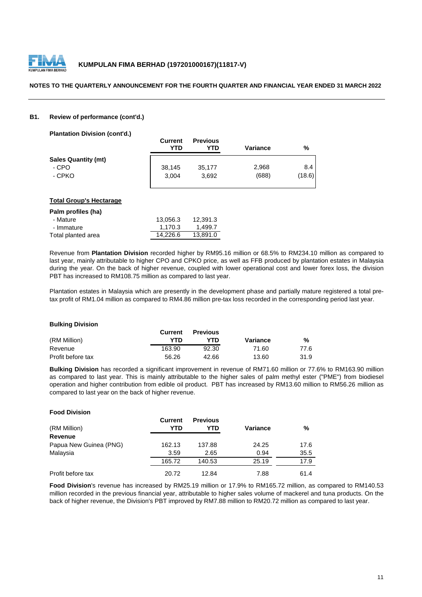

#### **B1. Review of performance (cont'd.)**

**Plantation Division (cont'd.)**

|                            | <b>Current</b><br>YTD | <b>Previous</b><br>YTD | Variance | %      |
|----------------------------|-----------------------|------------------------|----------|--------|
| <b>Sales Quantity (mt)</b> |                       |                        |          |        |
| - CPO                      | 38,145                | 35,177                 | 2,968    | 8.4    |
| - CPKO                     | 3.004                 | 3.692                  | (688)    | (18.6) |

#### **Total Group's Hectarage**

| Palm profiles (ha) |          |          |
|--------------------|----------|----------|
| - Mature           | 13.056.3 | 12.391.3 |
| - Immature         | 1.170.3  | 1.499.7  |
| Total planted area | 14.226.6 | 13.891.0 |

Revenue from **Plantation Division** recorded higher by RM95.16 million or 68.5% to RM234.10 million as compared to last year, mainly attributable to higher CPO and CPKO price, as well as FFB produced by plantation estates in Malaysia during the year. On the back of higher revenue, coupled with lower operational cost and lower forex loss, the division PBT has increased to RM108.75 million as compared to last year.

Plantation estates in Malaysia which are presently in the development phase and partially mature registered a total pretax profit of RM1.04 million as compared to RM4.86 million pre-tax loss recorded in the corresponding period last year.

#### **Bulking Division**

**Food Division**

|                   | <b>Current</b> | <b>Previous</b> |          |      |
|-------------------|----------------|-----------------|----------|------|
| (RM Million)      | YTD            | YTD             | Variance | ℅    |
| Revenue           | 163.90         | 92.30           | 71.60    | 77.6 |
| Profit before tax | 56.26          | 42.66           | 13.60    | 31.9 |

**Bulking Division** has recorded a significant improvement in revenue of RM71.60 million or 77.6% to RM163.90 million as compared to last year. This is mainly attributable to the higher sales of palm methyl ester ("PME") from biodiesel operation and higher contribution from edible oil product. PBT has increased by RM13.60 million to RM56.26 million as compared to last year on the back of higher revenue.

| ווטופוזוע טטט ו        |                |                        |          |      |
|------------------------|----------------|------------------------|----------|------|
| (RM Million)           | Current<br>YTD | <b>Previous</b><br>YTD | Variance | %    |
| <b>Revenue</b>         |                |                        |          |      |
| Papua New Guinea (PNG) | 162.13         | 137.88                 | 24.25    | 17.6 |
| Malaysia               | 3.59           | 2.65                   | 0.94     | 35.5 |
|                        | 165.72         | 140.53                 | 25.19    | 17.9 |
| Profit before tax      | 20.72          | 12.84                  | 7.88     | 61.4 |

**Food Division**'s revenue has increased by RM25.19 million or 17.9% to RM165.72 million, as compared to RM140.53 million recorded in the previous financial year, attributable to higher sales volume of mackerel and tuna products. On the back of higher revenue, the Division's PBT improved by RM7.88 million to RM20.72 million as compared to last year.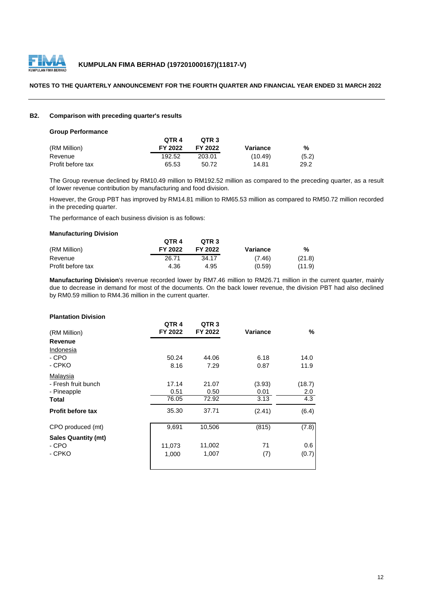

#### **NOTES TO THE QUARTERLY ANNOUNCEMENT FOR THE FOURTH QUARTER AND FINANCIAL YEAR ENDED 31 MARCH 2022**

#### **B2. Comparison with preceding quarter's results**

#### **Group Performance**

|                   | OTR 4   | OTR <sub>3</sub> |          |       |
|-------------------|---------|------------------|----------|-------|
| (RM Million)      | FY 2022 | FY 2022          | Variance | %     |
| Revenue           | 192.52  | 203.01           | (10.49)  | (5.2) |
| Profit before tax | 65.53   | 50.72            | 14.81    | 29.2  |

The Group revenue declined by RM10.49 million to RM192.52 million as compared to the preceding quarter, as a result of lower revenue contribution by manufacturing and food division.

However, the Group PBT has improved by RM14.81 million to RM65.53 million as compared to RM50.72 million recorded in the preceding quarter.

The performance of each business division is as follows:

#### **Manufacturing Division**

|                   | OTR <sub>4</sub> | OTR <sub>3</sub> |          |        |
|-------------------|------------------|------------------|----------|--------|
| (RM Million)      | FY 2022          | FY 2022          | Variance | %      |
| Revenue           | 26.71            | 34.17            | (7.46)   | (21.8) |
| Profit before tax | 4.36             | 4.95             | (0.59)   | (11.9) |

**Manufacturing Division**'s revenue recorded lower by RM7.46 million to RM26.71 million in the current quarter, mainly due to decrease in demand for most of the documents. On the back lower revenue, the division PBT had also declined by RM0.59 million to RM4.36 million in the current quarter.

#### **Plantation Division**

| (RM Million)               | QTR <sub>4</sub><br>FY 2022 | QTR <sub>3</sub><br>FY 2022 | Variance | %      |
|----------------------------|-----------------------------|-----------------------------|----------|--------|
| Revenue                    |                             |                             |          |        |
| Indonesia                  |                             |                             |          |        |
| - CPO                      | 50.24                       | 44.06                       | 6.18     | 14.0   |
| - CPKO                     | 8.16                        | 7.29                        | 0.87     | 11.9   |
| Malaysia                   |                             |                             |          |        |
| - Fresh fruit bunch        | 17.14                       | 21.07                       | (3.93)   | (18.7) |
| - Pineapple                | 0.51                        | 0.50                        | 0.01     | 2.0    |
| Total                      | 76.05                       | 72.92                       | 3.13     | 4.3    |
| <b>Profit before tax</b>   | 35.30                       | 37.71                       | (2.41)   | (6.4)  |
| CPO produced (mt)          | 9,691                       | 10,506                      | (815)    | (7.8)  |
| <b>Sales Quantity (mt)</b> |                             |                             |          |        |
| - CPO                      | 11,073                      | 11,002                      | 71       | 0.6    |
| - CPKO                     | 1,000                       | 1,007                       | (7)      | (0.7)  |
|                            |                             |                             |          |        |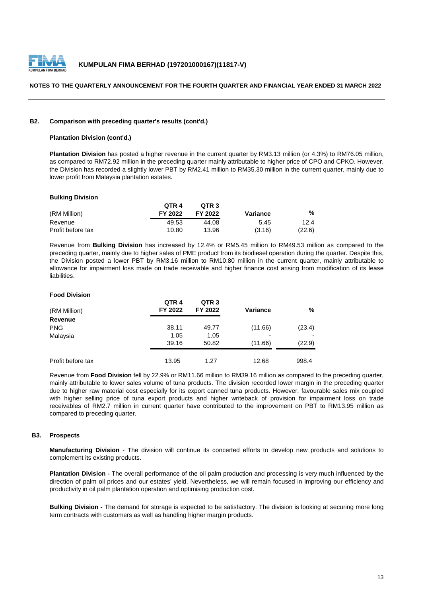

#### **B2. Comparison with preceding quarter's results (cont'd.)**

#### **Plantation Division (cont'd.)**

**Plantation Division** has posted a higher revenue in the current quarter by RM3.13 million (or 4.3%) to RM76.05 million, as compared to RM72.92 million in the preceding quarter mainly attributable to higher price of CPO and CPKO. However, the Division has recorded a slightly lower PBT by RM2.41 million to RM35.30 million in the current quarter, mainly due to lower profit from Malaysia plantation estates.

#### **Bulking Division**

|                   | QTR <sub>4</sub> | QTR <sub>3</sub> |          |        |
|-------------------|------------------|------------------|----------|--------|
| (RM Million)      | FY 2022          | FY 2022          | Variance | %      |
| Revenue           | 49.53            | 44.08            | 5.45     | 12.4   |
| Profit before tax | 10.80            | 13.96            | (3.16)   | (22.6) |

Revenue from **Bulking Division** has increased by 12.4% or RM5.45 million to RM49.53 million as compared to the preceding quarter, mainly due to higher sales of PME product from its biodiesel operation during the quarter. Despite this, the Division posted a lower PBT by RM3.16 million to RM10.80 million in the current quarter, mainly attributable to allowance for impairment loss made on trade receivable and higher finance cost arising from modification of its lease liabilities.

#### **Food Division**

| (RM Million)      | QTR <sub>4</sub><br>FY 2022 | QTR <sub>3</sub><br>FY 2022 | <b>Variance</b> | ℅      |
|-------------------|-----------------------------|-----------------------------|-----------------|--------|
| Revenue           |                             |                             |                 |        |
| <b>PNG</b>        | 38.11                       | 49.77                       | (11.66)         | (23.4) |
| Malaysia          | 1.05                        | 1.05                        | -               |        |
|                   | 39.16                       | 50.82                       | (11.66)         | (22.9) |
| Profit before tax | 13.95                       | 1.27                        | 12.68           | 998.4  |

Revenue from **Food Division** fell by 22.9% or RM11.66 million to RM39.16 million as compared to the preceding quarter, mainly attributable to lower sales volume of tuna products. The division recorded lower margin in the preceding quarter due to higher raw material cost especially for its export canned tuna products. However, favourable sales mix coupled with higher selling price of tuna export products and higher writeback of provision for impairment loss on trade receivables of RM2.7 million in current quarter have contributed to the improvement on PBT to RM13.95 million as compared to preceding quarter.

#### **B3. Prospects**

**Manufacturing Division** - The division will continue its concerted efforts to develop new products and solutions to complement its existing products.

**Plantation Division -** The overall performance of the oil palm production and processing is very much influenced by the direction of palm oil prices and our estates' yield. Nevertheless, we will remain focused in improving our efficiency and productivity in oil palm plantation operation and optimising production cost.

**Bulking Division -** The demand for storage is expected to be satisfactory. The division is looking at securing more long term contracts with customers as well as handling higher margin products.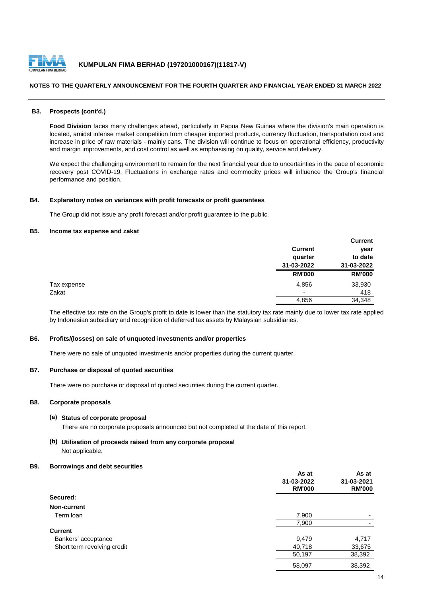

#### **NOTES TO THE QUARTERLY ANNOUNCEMENT FOR THE FOURTH QUARTER AND FINANCIAL YEAR ENDED 31 MARCH 2022**

#### **B3. Prospects (cont'd.)**

**Food Division** faces many challenges ahead, particularly in Papua New Guinea where the division's main operation is located, amidst intense market competition from cheaper imported products, currency fluctuation, transportation cost and increase in price of raw materials - mainly cans. The division will continue to focus on operational efficiency, productivity and margin improvements, and cost control as well as emphasising on quality, service and delivery.

We expect the challenging environment to remain for the next financial year due to uncertainties in the pace of economic recovery post COVID-19. Fluctuations in exchange rates and commodity prices will influence the Group's financial performance and position.

#### **B4. Explanatory notes on variances with profit forecasts or profit guarantees**

The Group did not issue any profit forecast and/or profit guarantee to the public.

## **B5. Income tax expense and zakat**

|             |                          | <b>Current</b> |
|-------------|--------------------------|----------------|
|             | <b>Current</b>           | year           |
|             | quarter                  | to date        |
|             | 31-03-2022               | 31-03-2022     |
|             | <b>RM'000</b>            | <b>RM'000</b>  |
| Tax expense | 4,856                    | 33,930         |
| Zakat       | $\overline{\phantom{0}}$ | 418            |
|             | 4,856                    | 34,348         |

The effective tax rate on the Group's profit to date is lower than the statutory tax rate mainly due to lower tax rate applied by Indonesian subsidiary and recognition of deferred tax assets by Malaysian subsidiaries.

#### **B6. Profits/(losses) on sale of unquoted investments and/or properties**

There were no sale of unquoted investments and/or properties during the current quarter.

#### **B7. Purchase or disposal of quoted securities**

There were no purchase or disposal of quoted securities during the current quarter.

#### **B8. Corporate proposals**

#### **(a) Status of corporate proposal**

There are no corporate proposals announced but not completed at the date of this report.

#### **(b) Utilisation of proceeds raised from any corporate proposal** Not applicable.

#### **B9. Borrowings and debt securities**

|                             | As at<br>31-03-2022<br><b>RM'000</b> | As at<br>31-03-2021<br><b>RM'000</b> |
|-----------------------------|--------------------------------------|--------------------------------------|
| Secured:                    |                                      |                                      |
| Non-current                 |                                      |                                      |
| Term loan                   | 7,900                                |                                      |
|                             | 7,900                                |                                      |
| <b>Current</b>              |                                      |                                      |
| Bankers' acceptance         | 9,479                                | 4,717                                |
| Short term revolving credit | 40,718                               | 33,675                               |
|                             | 50,197                               | 38,392                               |
|                             | 58,097                               | 38,392                               |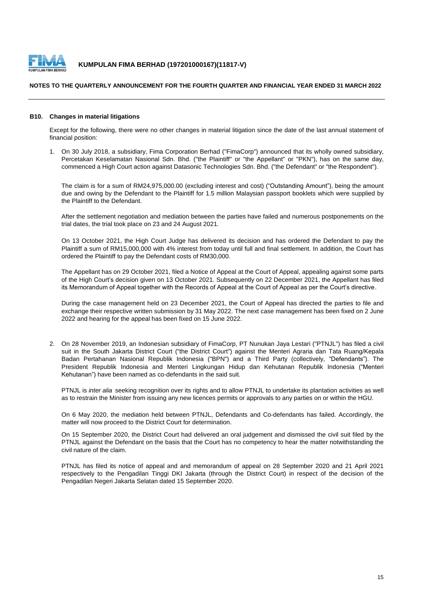

#### **NOTES TO THE QUARTERLY ANNOUNCEMENT FOR THE FOURTH QUARTER AND FINANCIAL YEAR ENDED 31 MARCH 2022**

#### **B10. Changes in material litigations**

Except for the following, there were no other changes in material litigation since the date of the last annual statement of financial position:

1. On 30 July 2018, a subsidiary, Fima Corporation Berhad ("FimaCorp") announced that its wholly owned subsidiary, Percetakan Keselamatan Nasional Sdn. Bhd. ("the Plaintiff" or "the Appellant" or "PKN"), has on the same day, commenced a High Court action against Datasonic Technologies Sdn. Bhd. ("the Defendant" or "the Respondent").

The claim is for a sum of RM24,975,000.00 (excluding interest and cost) ("Outstanding Amount"), being the amount due and owing by the Defendant to the Plaintiff for 1.5 million Malaysian passport booklets which were supplied by the Plaintiff to the Defendant.

After the settlement negotiation and mediation between the parties have failed and numerous postponements on the trial dates, the trial took place on 23 and 24 August 2021.

On 13 October 2021, the High Court Judge has delivered its decision and has ordered the Defendant to pay the Plaintiff a sum of RM15,000,000 with 4% interest from today until full and final settlement. In addition, the Court has ordered the Plaintiff to pay the Defendant costs of RM30,000.

The Appellant has on 29 October 2021, filed a Notice of Appeal at the Court of Appeal, appealing against some parts of the High Court's decision given on 13 October 2021. Subsequently on 22 December 2021, the Appellant has filed its Memorandum of Appeal together with the Records of Appeal at the Court of Appeal as per the Court's directive.

During the case management held on 23 December 2021, the Court of Appeal has directed the parties to file and exchange their respective written submission by 31 May 2022. The next case management has been fixed on 2 June 2022 and hearing for the appeal has been fixed on 15 June 2022.

2. On 28 November 2019, an Indonesian subsidiary of FimaCorp, PT Nunukan Jaya Lestari ("PTNJL") has filed a civil suit in the South Jakarta District Court ("the District Court") against the Menteri Agraria dan Tata Ruang/Kepala Badan Pertahanan Nasional Republik Indonesia ("BPN") and a Third Party (collectively, "Defendants"). The President Republik Indonesia and Menteri Lingkungan Hidup dan Kehutanan Republik Indonesia ("Menteri Kehutanan") have been named as co-defendants in the said suit.

PTNJL is *inter alia* seeking recognition over its rights and to allow PTNJL to undertake its plantation activities as well as to restrain the Minister from issuing any new licences permits or approvals to any parties on or within the HGU.

On 6 May 2020, the mediation held between PTNJL, Defendants and Co-defendants has failed. Accordingly, the matter will now proceed to the District Court for determination.

On 15 September 2020, the District Court had delivered an oral judgement and dismissed the civil suit filed by the PTNJL against the Defendant on the basis that the Court has no competency to hear the matter notwithstanding the civil nature of the claim.

PTNJL has filed its notice of appeal and and memorandum of appeal on 28 September 2020 and 21 April 2021 respectively to the Pengadilan Tinggi DKI Jakarta (through the District Court) in respect of the decision of the Pengadilan Negeri Jakarta Selatan dated 15 September 2020.